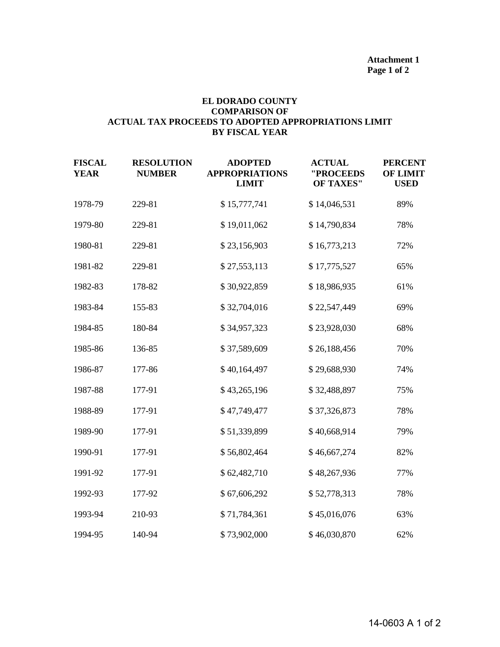## **EL DORADO COUNTY COMPARISON OF ACTUAL TAX PROCEEDS TO ADOPTED APPROPRIATIONS LIMIT BY FISCAL YEAR**

| <b>FISCAL</b><br><b>YEAR</b> | <b>RESOLUTION</b><br><b>NUMBER</b> | <b>ADOPTED</b><br><b>APPROPRIATIONS</b><br><b>LIMIT</b> | <b>ACTUAL</b><br>"PROCEEDS<br><b>OF TAXES"</b> | <b>PERCENT</b><br><b>OF LIMIT</b><br><b>USED</b> |
|------------------------------|------------------------------------|---------------------------------------------------------|------------------------------------------------|--------------------------------------------------|
| 1978-79                      | 229-81                             | \$15,777,741                                            | \$14,046,531                                   | 89%                                              |
| 1979-80                      | 229-81                             | \$19,011,062                                            | \$14,790,834                                   | 78%                                              |
| 1980-81                      | 229-81                             | \$23,156,903                                            | \$16,773,213                                   | 72%                                              |
| 1981-82                      | 229-81                             | \$27,553,113                                            | \$17,775,527                                   | 65%                                              |
| 1982-83                      | 178-82                             | \$30,922,859                                            | \$18,986,935                                   | 61%                                              |
| 1983-84                      | 155-83                             | \$32,704,016                                            | \$22,547,449                                   | 69%                                              |
| 1984-85                      | 180-84                             | \$34,957,323                                            | \$23,928,030                                   | 68%                                              |
| 1985-86                      | 136-85                             | \$37,589,609                                            | \$26,188,456                                   | 70%                                              |
| 1986-87                      | 177-86                             | \$40,164,497                                            | \$29,688,930                                   | 74%                                              |
| 1987-88                      | 177-91                             | \$43,265,196                                            | \$32,488,897                                   | 75%                                              |
| 1988-89                      | 177-91                             | \$47,749,477                                            | \$37,326,873                                   | 78%                                              |
| 1989-90                      | 177-91                             | \$51,339,899                                            | \$40,668,914                                   | 79%                                              |
| 1990-91                      | 177-91                             | \$56,802,464                                            | \$46,667,274                                   | 82%                                              |
| 1991-92                      | 177-91                             | \$62,482,710                                            | \$48,267,936                                   | 77%                                              |
| 1992-93                      | 177-92                             | \$67,606,292                                            | \$52,778,313                                   | 78%                                              |
| 1993-94                      | 210-93                             | \$71,784,361                                            | \$45,016,076                                   | 63%                                              |
| 1994-95                      | 140-94                             | \$73,902,000                                            | \$46,030,870                                   | 62%                                              |